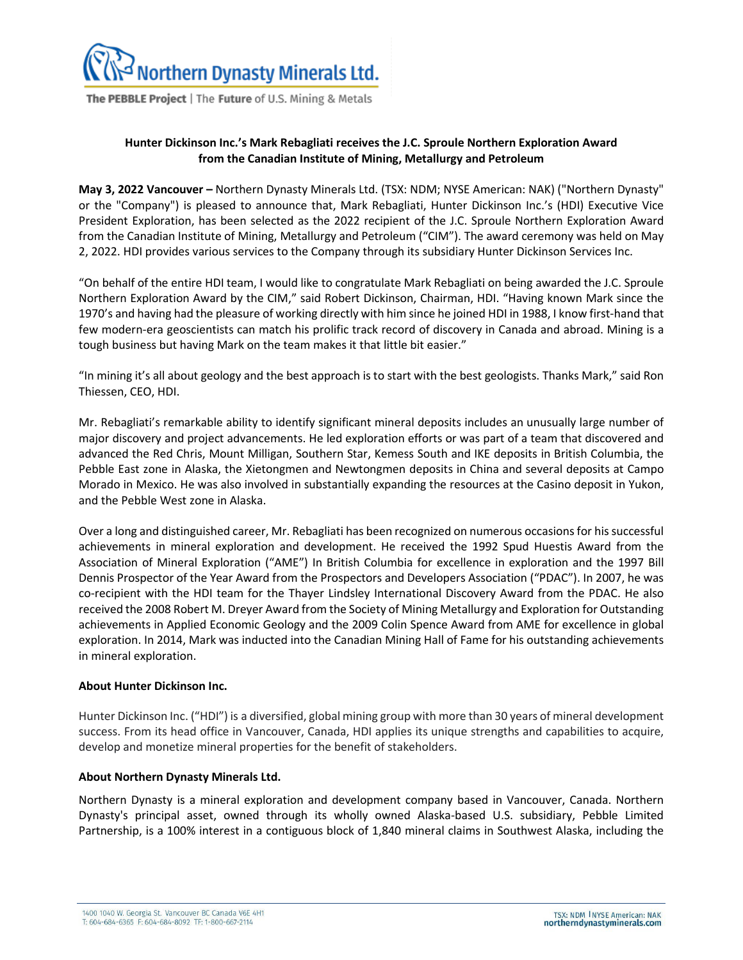

The PEBBLE Project | The Future of U.S. Mining & Metals

## **Hunter Dickinson Inc.'s Mark Rebagliati receives the J.C. Sproule Northern Exploration Award from the Canadian Institute of Mining, Metallurgy and Petroleum**

**May 3, 2022 Vancouver –** Northern Dynasty Minerals Ltd. (TSX: NDM; NYSE American: NAK) ("Northern Dynasty" or the "Company") is pleased to announce that, Mark Rebagliati, Hunter Dickinson Inc.'s (HDI) Executive Vice President Exploration, has been selected as the 2022 recipient of the J.C. Sproule Northern Exploration Award from the Canadian Institute of Mining, Metallurgy and Petroleum ("CIM"). The award ceremony was held on May 2, 2022. HDI provides various services to the Company through its subsidiary Hunter Dickinson Services Inc.

"On behalf of the entire HDI team, I would like to congratulate Mark Rebagliati on being awarded the J.C. Sproule Northern Exploration Award by the CIM," said Robert Dickinson, Chairman, HDI. "Having known Mark since the 1970's and having had the pleasure of working directly with him since he joined HDI in 1988, I know first-hand that few modern-era geoscientists can match his prolific track record of discovery in Canada and abroad. Mining is a tough business but having Mark on the team makes it that little bit easier."

"In mining it's all about geology and the best approach is to start with the best geologists. Thanks Mark," said Ron Thiessen, CEO, HDI.

Mr. Rebagliati's remarkable ability to identify significant mineral deposits includes an unusually large number of major discovery and project advancements. He led exploration efforts or was part of a team that discovered and advanced the Red Chris, Mount Milligan, Southern Star, Kemess South and IKE deposits in British Columbia, the Pebble East zone in Alaska, the Xietongmen and Newtongmen deposits in China and several deposits at Campo Morado in Mexico. He was also involved in substantially expanding the resources at the Casino deposit in Yukon, and the Pebble West zone in Alaska.

Over a long and distinguished career, Mr. Rebagliati has been recognized on numerous occasions for his successful achievements in mineral exploration and development. He received the 1992 Spud Huestis Award from the Association of Mineral Exploration ("AME") In British Columbia for excellence in exploration and the 1997 Bill Dennis Prospector of the Year Award from the Prospectors and Developers Association ("PDAC"). In 2007, he was co-recipient with the HDI team for the Thayer Lindsley International Discovery Award from the PDAC. He also received the 2008 Robert M. Dreyer Award from the Society of Mining Metallurgy and Exploration for Outstanding achievements in Applied Economic Geology and the 2009 Colin Spence Award from AME for excellence in global exploration. In 2014, Mark was inducted into the Canadian Mining Hall of Fame for his outstanding achievements in mineral exploration.

## **About Hunter Dickinson Inc.**

Hunter Dickinson Inc. ("HDI") is a diversified, global mining group with more than 30 years of mineral development success. From its head office in Vancouver, Canada, HDI applies its unique strengths and capabilities to acquire, develop and monetize mineral properties for the benefit of stakeholders.

## **About Northern Dynasty Minerals Ltd.**

Northern Dynasty is a mineral exploration and development company based in Vancouver, Canada. Northern Dynasty's principal asset, owned through its wholly owned Alaska-based U.S. subsidiary, Pebble Limited Partnership, is a 100% interest in a contiguous block of 1,840 mineral claims in Southwest Alaska, including the